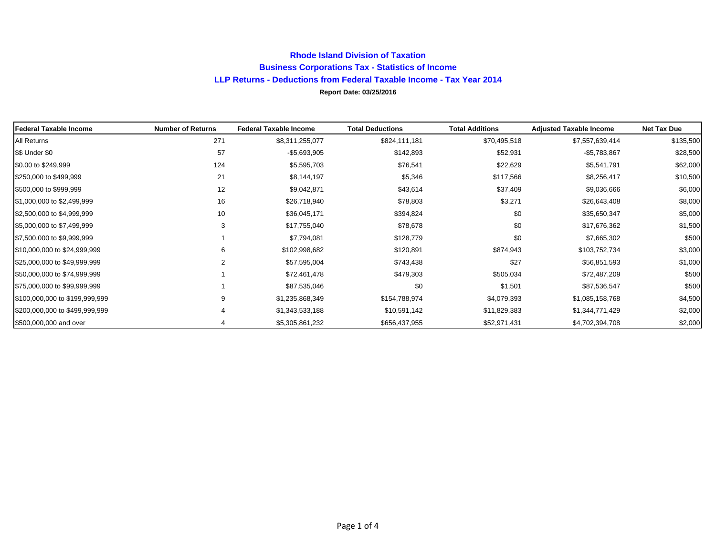## **Rhode Island Division of Taxation Business Corporations Tax - Statistics of Income LLP Returns - Deductions from Federal Taxable Income - Tax Year 2014 Report Date: 03/25/2016**

| Federal Taxable Income         | <b>Number of Returns</b> | <b>Federal Taxable Income</b> | <b>Total Deductions</b> | <b>Total Additions</b> | <b>Adjusted Taxable Income</b> | <b>Net Tax Due</b> |
|--------------------------------|--------------------------|-------------------------------|-------------------------|------------------------|--------------------------------|--------------------|
| All Returns                    | 271                      | \$8,311,255,077               | \$824,111,181           | \$70,495,518           | \$7,557,639,414                | \$135,500          |
| \$\$ Under \$0                 | 57                       | $-$5,693,905$                 | \$142,893               | \$52,931               | $-$5,783,867$                  | \$28,500           |
| \$0.00 to \$249,999            | 124                      | \$5,595,703                   | \$76,541                | \$22,629               | \$5,541,791                    | \$62,000           |
| \$250,000 to \$499,999         | 21                       | \$8,144,197                   | \$5,346                 | \$117,566              | \$8,256,417                    | \$10,500           |
| \$500,000 to \$999,999         | 12                       | \$9,042,871                   | \$43,614                | \$37,409               | \$9,036,666                    | \$6,000            |
| \$1,000,000 to \$2,499,999     | 16                       | \$26,718,940                  | \$78,803                | \$3,271                | \$26,643,408                   | \$8,000            |
| \$2,500,000 to \$4,999,999     | 10                       | \$36,045,171                  | \$394,824               | \$0                    | \$35,650,347                   | \$5,000            |
| \$5,000,000 to \$7,499,999     | 3                        | \$17,755,040                  | \$78,678                | \$0                    | \$17,676,362                   | \$1,500            |
| \$7,500,000 to \$9,999,999     |                          | \$7,794,081                   | \$128,779               | \$0                    | \$7,665,302                    | \$500              |
| \$10,000,000 to \$24,999,999   | 6                        | \$102,998,682                 | \$120,891               | \$874,943              | \$103,752,734                  | \$3,000            |
| \$25,000,000 to \$49,999,999   | 2                        | \$57,595,004                  | \$743,438               | \$27                   | \$56,851,593                   | \$1,000            |
| \$50,000,000 to \$74,999,999   |                          | \$72,461,478                  | \$479,303               | \$505,034              | \$72,487,209                   | \$500              |
| \$75,000,000 to \$99,999,999   |                          | \$87,535,046                  | \$0                     | \$1,501                | \$87,536,547                   | \$500              |
| \$100,000,000 to \$199,999,999 | 9                        | \$1,235,868,349               | \$154,788,974           | \$4,079,393            | \$1,085,158,768                | \$4,500            |
| \$200,000,000 to \$499,999,999 |                          | \$1,343,533,188               | \$10,591,142            | \$11,829,383           | \$1,344,771,429                | \$2,000            |
| \$500,000,000 and over         |                          | \$5,305,861,232               | \$656,437,955           | \$52,971,431           | \$4,702,394,708                | \$2,000            |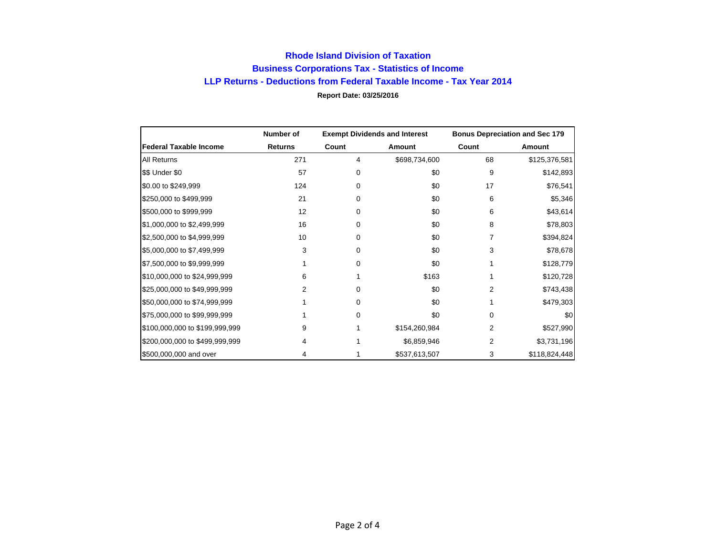## **Rhode Island Division of Taxation Business Corporations Tax - Statistics of Income LLP Returns - Deductions from Federal Taxable Income - Tax Year 2014 Report Date: 03/25/2016**

|                                | Number of      | <b>Exempt Dividends and Interest</b> |               | <b>Bonus Depreciation and Sec 179</b> |               |
|--------------------------------|----------------|--------------------------------------|---------------|---------------------------------------|---------------|
| <b>Federal Taxable Income</b>  | <b>Returns</b> | Count                                | Amount        | Count                                 | Amount        |
| All Returns                    | 271            | 4                                    | \$698,734,600 | 68                                    | \$125,376,581 |
| \$\$ Under \$0                 | 57             | $\Omega$                             | \$0           | 9                                     | \$142,893     |
| \$0.00 to \$249,999            | 124            | $\Omega$                             | \$0           | 17                                    | \$76,541      |
| \$250,000 to \$499,999         | 21             | $\Omega$                             | \$0           | 6                                     | \$5,346       |
| \$500,000 to \$999,999         | 12             | $\Omega$                             | \$0           | 6                                     | \$43,614      |
| \$1,000,000 to \$2,499,999     | 16             | 0                                    | \$0           | 8                                     | \$78,803      |
| \$2,500,000 to \$4,999,999     | 10             | 0                                    | \$0           | 7                                     | \$394,824     |
| \$5,000,000 to \$7,499,999     | 3              | $\Omega$                             | \$0           | 3                                     | \$78,678      |
| \$7,500,000 to \$9,999,999     |                | $\Omega$                             | \$0           |                                       | \$128,779     |
| \$10,000,000 to \$24,999,999   | 6              |                                      | \$163         |                                       | \$120,728     |
| \$25,000,000 to \$49,999,999   | 2              | 0                                    | \$0           | 2                                     | \$743,438     |
| \$50,000,000 to \$74,999,999   |                | 0                                    | \$0           |                                       | \$479,303     |
| \$75,000,000 to \$99,999,999   |                | $\Omega$                             | \$0           | 0                                     | \$0           |
| \$100,000,000 to \$199,999,999 | 9              |                                      | \$154,260,984 | 2                                     | \$527,990     |
| \$200,000,000 to \$499,999,999 | 4              |                                      | \$6,859,946   | 2                                     | \$3,731,196   |
| \$500,000,000 and over         | 4              |                                      | \$537,613,507 | 3                                     | \$118,824,448 |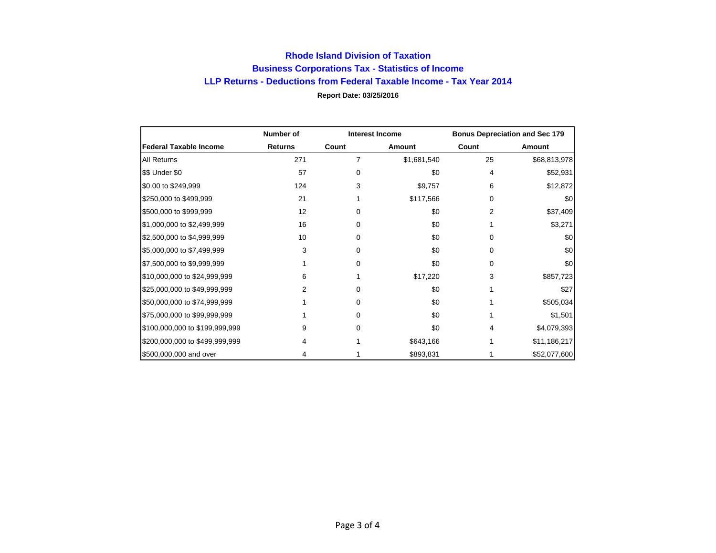## **Rhode Island Division of Taxation Business Corporations Tax - Statistics of Income LLP Returns - Deductions from Federal Taxable Income - Tax Year 2014 Report Date: 03/25/2016**

|                                | Number of      | <b>Interest Income</b> |             | <b>Bonus Depreciation and Sec 179</b> |              |
|--------------------------------|----------------|------------------------|-------------|---------------------------------------|--------------|
| <b>Federal Taxable Income</b>  | <b>Returns</b> | Count                  | Amount      | Count                                 | Amount       |
| All Returns                    | 271            | $\overline{7}$         | \$1,681,540 | 25                                    | \$68,813,978 |
| \$\$ Under \$0                 | 57             | $\Omega$               | \$0         | 4                                     | \$52,931     |
| \$0.00 to \$249,999            | 124            | 3                      | \$9,757     | 6                                     | \$12,872     |
| \$250,000 to \$499,999         | 21             |                        | \$117,566   | 0                                     | \$0          |
| \$500,000 to \$999,999         | 12             | $\Omega$               | \$0         | 2                                     | \$37,409     |
| \$1,000,000 to \$2,499,999     | 16             | $\Omega$               | \$0         |                                       | \$3,271      |
| \$2,500,000 to \$4,999,999     | 10             | 0                      | \$0         | 0                                     | \$0          |
| \$5,000,000 to \$7,499,999     | 3              | 0                      | \$0         | 0                                     | \$0          |
| \$7,500,000 to \$9,999,999     |                | $\Omega$               | \$0         | 0                                     | \$0          |
| \$10,000,000 to \$24,999,999   | 6              |                        | \$17,220    | 3                                     | \$857,723    |
| \$25,000,000 to \$49,999,999   | 2              | $\Omega$               | \$0         |                                       | \$27         |
| \$50,000,000 to \$74,999,999   |                | $\Omega$               | \$0         |                                       | \$505,034    |
| \$75,000,000 to \$99,999,999   |                | 0                      | \$0         |                                       | \$1,501      |
| \$100,000,000 to \$199,999,999 | 9              | 0                      | \$0         | 4                                     | \$4,079,393  |
| \$200,000,000 to \$499,999,999 | 4              |                        | \$643,166   |                                       | \$11,186,217 |
| \$500,000,000 and over         | 4              |                        | \$893,831   |                                       | \$52,077,600 |